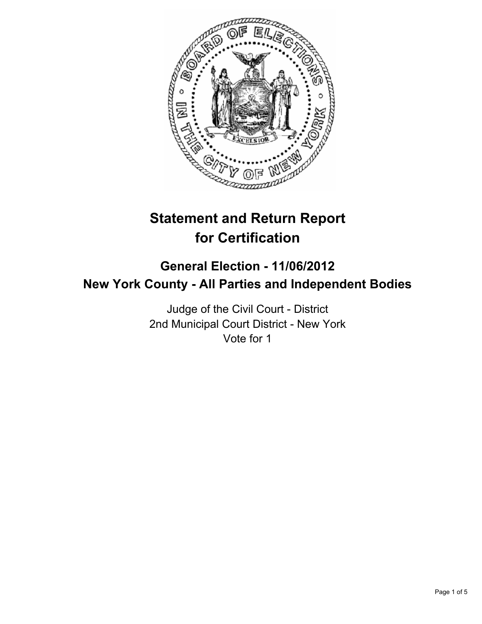

# **Statement and Return Report for Certification**

## **General Election - 11/06/2012 New York County - All Parties and Independent Bodies**

Judge of the Civil Court - District 2nd Municipal Court District - New York Vote for 1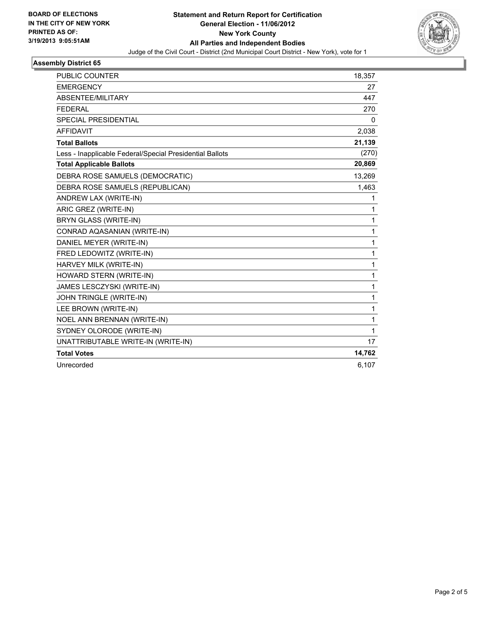

#### **Assembly District 65**

| <b>PUBLIC COUNTER</b>                                    | 18,357 |
|----------------------------------------------------------|--------|
| <b>EMERGENCY</b>                                         | 27     |
| ABSENTEE/MILITARY                                        | 447    |
| <b>FEDERAL</b>                                           | 270    |
| <b>SPECIAL PRESIDENTIAL</b>                              | 0      |
| <b>AFFIDAVIT</b>                                         | 2,038  |
| <b>Total Ballots</b>                                     | 21,139 |
| Less - Inapplicable Federal/Special Presidential Ballots | (270)  |
| <b>Total Applicable Ballots</b>                          | 20,869 |
| DEBRA ROSE SAMUELS (DEMOCRATIC)                          | 13,269 |
| DEBRA ROSE SAMUELS (REPUBLICAN)                          | 1,463  |
| ANDREW LAX (WRITE-IN)                                    | 1      |
| ARIC GREZ (WRITE-IN)                                     | 1      |
| BRYN GLASS (WRITE-IN)                                    | 1      |
| CONRAD AQASANIAN (WRITE-IN)                              | 1      |
| DANIEL MEYER (WRITE-IN)                                  | 1      |
| FRED LEDOWITZ (WRITE-IN)                                 | 1      |
| HARVEY MILK (WRITE-IN)                                   | 1      |
| HOWARD STERN (WRITE-IN)                                  | 1      |
| JAMES LESCZYSKI (WRITE-IN)                               | 1      |
| JOHN TRINGLE (WRITE-IN)                                  | 1      |
| LEE BROWN (WRITE-IN)                                     | 1      |
| NOEL ANN BRENNAN (WRITE-IN)                              | 1      |
| SYDNEY OLORODE (WRITE-IN)                                | 1      |
| UNATTRIBUTABLE WRITE-IN (WRITE-IN)                       | 17     |
| <b>Total Votes</b>                                       | 14,762 |
| Unrecorded                                               | 6,107  |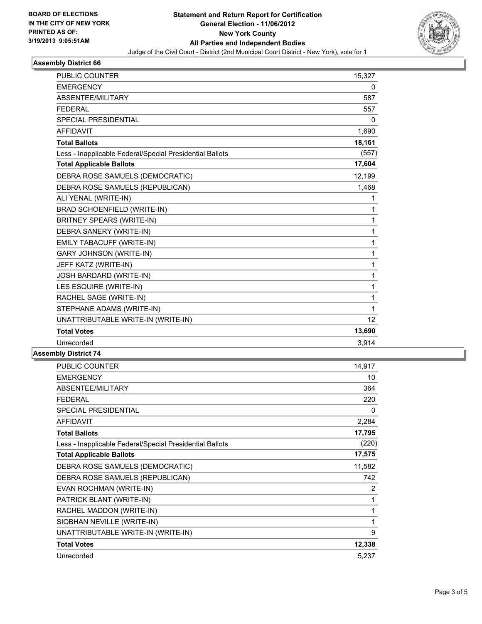

#### **Assembly District 66**

| <b>PUBLIC COUNTER</b>                                    | 15,327       |
|----------------------------------------------------------|--------------|
| <b>EMERGENCY</b>                                         | 0            |
| <b>ABSENTEE/MILITARY</b>                                 | 587          |
| <b>FEDERAL</b>                                           | 557          |
| <b>SPECIAL PRESIDENTIAL</b>                              | $\mathbf{0}$ |
| <b>AFFIDAVIT</b>                                         | 1,690        |
| <b>Total Ballots</b>                                     | 18,161       |
| Less - Inapplicable Federal/Special Presidential Ballots | (557)        |
| <b>Total Applicable Ballots</b>                          | 17,604       |
| DEBRA ROSE SAMUELS (DEMOCRATIC)                          | 12,199       |
| DEBRA ROSE SAMUELS (REPUBLICAN)                          | 1,468        |
| ALI YENAL (WRITE-IN)                                     | 1            |
| BRAD SCHOENFIELD (WRITE-IN)                              | 1            |
| <b>BRITNEY SPEARS (WRITE-IN)</b>                         | 1            |
| DEBRA SANERY (WRITE-IN)                                  | 1            |
| EMILY TABACUFF (WRITE-IN)                                | 1            |
| <b>GARY JOHNSON (WRITE-IN)</b>                           | 1            |
| JEFF KATZ (WRITE-IN)                                     | 1            |
| JOSH BARDARD (WRITE-IN)                                  | 1            |
| LES ESQUIRE (WRITE-IN)                                   | 1            |
| RACHEL SAGE (WRITE-IN)                                   | 1            |
| STEPHANE ADAMS (WRITE-IN)                                | 1            |
| UNATTRIBUTABLE WRITE-IN (WRITE-IN)                       | 12           |
| <b>Total Votes</b>                                       | 13,690       |
| Unrecorded                                               | 3,914        |

#### **Assembly District 74**

| <b>PUBLIC COUNTER</b>                                    | 14,917 |
|----------------------------------------------------------|--------|
| <b>EMERGENCY</b>                                         | 10     |
| ABSENTEE/MILITARY                                        | 364    |
| <b>FEDERAL</b>                                           | 220    |
| SPECIAL PRESIDENTIAL                                     | 0      |
| <b>AFFIDAVIT</b>                                         | 2,284  |
| <b>Total Ballots</b>                                     | 17,795 |
| Less - Inapplicable Federal/Special Presidential Ballots | (220)  |
| <b>Total Applicable Ballots</b>                          | 17,575 |
| DEBRA ROSE SAMUELS (DEMOCRATIC)                          | 11,582 |
| DEBRA ROSE SAMUELS (REPUBLICAN)                          | 742    |
| EVAN ROCHMAN (WRITE-IN)                                  | 2      |
| PATRICK BLANT (WRITE-IN)                                 | 1      |
| RACHEL MADDON (WRITE-IN)                                 | 1      |
| SIOBHAN NEVILLE (WRITE-IN)                               | 1      |
| UNATTRIBUTABLE WRITE-IN (WRITE-IN)                       | 9      |
| <b>Total Votes</b>                                       | 12,338 |
| Unrecorded                                               | 5,237  |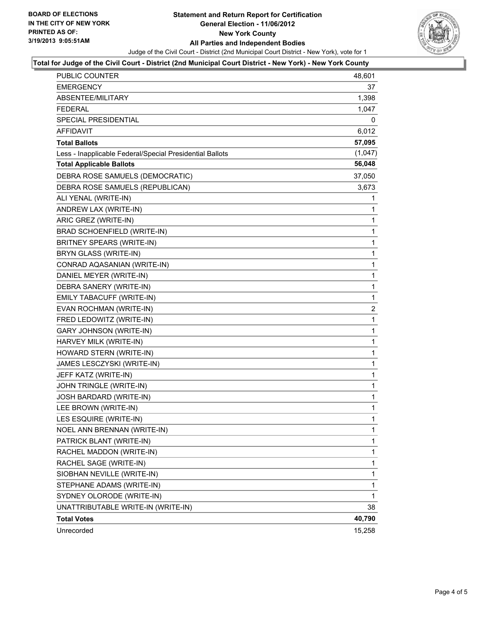

#### **Total for Judge of the Civil Court - District (2nd Municipal Court District - New York) - New York County**

| PUBLIC COUNTER                                           | 48,601  |
|----------------------------------------------------------|---------|
| <b>EMERGENCY</b>                                         | 37      |
| ABSENTEE/MILITARY                                        | 1,398   |
| <b>FEDERAL</b>                                           | 1,047   |
| <b>SPECIAL PRESIDENTIAL</b>                              | 0       |
| AFFIDAVIT                                                | 6,012   |
| <b>Total Ballots</b>                                     | 57,095  |
| Less - Inapplicable Federal/Special Presidential Ballots | (1,047) |
| <b>Total Applicable Ballots</b>                          | 56,048  |
| DEBRA ROSE SAMUELS (DEMOCRATIC)                          | 37,050  |
| DEBRA ROSE SAMUELS (REPUBLICAN)                          | 3,673   |
| ALI YENAL (WRITE-IN)                                     | 1       |
| ANDREW LAX (WRITE-IN)                                    | 1       |
| ARIC GREZ (WRITE-IN)                                     | 1       |
| BRAD SCHOENFIELD (WRITE-IN)                              | 1       |
| BRITNEY SPEARS (WRITE-IN)                                | 1       |
| BRYN GLASS (WRITE-IN)                                    | 1       |
| CONRAD AQASANIAN (WRITE-IN)                              | 1       |
| DANIEL MEYER (WRITE-IN)                                  | 1       |
| DEBRA SANERY (WRITE-IN)                                  | 1       |
| EMILY TABACUFF (WRITE-IN)                                | 1       |
| EVAN ROCHMAN (WRITE-IN)                                  | 2       |
| FRED LEDOWITZ (WRITE-IN)                                 | 1       |
| <b>GARY JOHNSON (WRITE-IN)</b>                           | 1       |
| HARVEY MILK (WRITE-IN)                                   | 1       |
| HOWARD STERN (WRITE-IN)                                  | 1       |
| JAMES LESCZYSKI (WRITE-IN)                               | 1       |
| JEFF KATZ (WRITE-IN)                                     | 1       |
| JOHN TRINGLE (WRITE-IN)                                  | 1       |
| JOSH BARDARD (WRITE-IN)                                  | 1       |
| LEE BROWN (WRITE-IN)                                     | 1       |
| LES ESQUIRE (WRITE-IN)                                   | 1       |
| NOEL ANN BRENNAN (WRITE-IN)                              | 1       |
| PATRICK BLANT (WRITE-IN)                                 | 1       |
| RACHEL MADDON (WRITE-IN)                                 | 1       |
| RACHEL SAGE (WRITE-IN)                                   | 1       |
| SIOBHAN NEVILLE (WRITE-IN)                               | 1       |
| STEPHANE ADAMS (WRITE-IN)                                | 1       |
| SYDNEY OLORODE (WRITE-IN)                                | 1       |
| UNATTRIBUTABLE WRITE-IN (WRITE-IN)                       | 38      |
| <b>Total Votes</b>                                       | 40,790  |
| Unrecorded                                               | 15,258  |